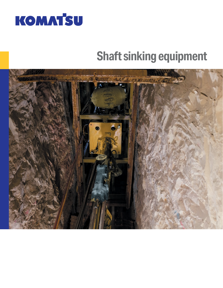

# **Shaft sinking equipment**

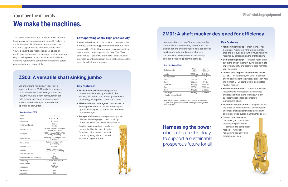# You move the minerals. **We make the machines.**

The essential minerals you produce power modern technology, facilitate community growth and move society forward. But these minerals are hard to find and tougher to mine. Your customers trust you to deliver these resources, so you need an equipment, service and technology provider you can rely on to help keep your operation productive and efficient. Together we can focus on operating safely, productively and responsibly.

# **Harnessing the power**

of industrial technology to support a sustainable, prosperous future for all

# **ZS02: A versatile shaft sinking jumbo**

We understand flexibility in your fleet is important, so the ZS02 jumbo is engineered to accommodate small to large shaft sizes. Plus, the multiple-boom configuration can help provide increased productivity and additional redundancy to ensure limited operational disruption.

### **Key features:**

- **Performance drifters** equipped with drifters manufactured by a leader in the industry, Montabert, and featuring shockwave technology for improved penetration rates
- **• Maximum boom coverage** operates with a 360-degree rotation at the top turret so your operations can gain the benefits of maximum boom coverage
- **Auto parallelism** ensure proper alignment of holes, while helping to boost mucking productivity with this user-friendly feature
- **Nested cage structure** reduces the required bucket well diameter for easier drill access to the shaft bottom by using a jumbo nested within the cage structure



# **ZM01: A shaft mucker designed for efficiency**

Your operation can benefit from a mucker that is optimal for shaft mucking systems with two bucket options and long reach. This equipment can be used in larger diameter shafts, or the boom can also operate less than fully extended, reducing potential damage.

### **Key features:**

- **Main cylinder stroke** main cylinder has a stroke of 4.3 meters for a large coverage area and a reduced amount of muck handling required by personnel on the shaft bottom
- **• Self-cleaning design** ensures rocks clean out at the end of the main cylinder, helping to improve reliability and promote zero harm for your operation
- **Lowest cost, highest mean time to failure (MTBF)** — In field tests, the ZM01 has been shown to provide the lowest cost per ton with the highest MTBF compared to competitor mucker models
- **Ease of maintenance** benefit from easier, fast servicing with replaceable bushings and grease fitting, along with heavy-duty bucket cylinder shock absorbers for increased reliability
- **14-foot extension boom** design includes the entire boom extension at one constant thickness that helps minimize failures with potentially lower overall maintenance costs
- **Optimal bucket size** half cubic yard bucket size reduces the jaws' weight — compared to competitor models — while still maintaining capacity and production cycles



#### **Specifications - ZM01**

| <b>Bucket capacity</b> | $0.4 \, \text{m}^3$<br>$*0.57 \text{ m}^3$ | $0.5$ yd <sup>3</sup><br>$*0.75$ yd <sup>3</sup> |
|------------------------|--------------------------------------------|--------------------------------------------------|
| Length                 | 16510 mm                                   | 54 ft. 2 in                                      |
| Boom extension         | 4267 mm                                    | 14 ft.                                           |
| Width                  | 1524 mm                                    | 5 ft.                                            |
| Depth                  | 965 mm                                     | 3 ft. 2 in                                       |
| Extension              | 1633 kg                                    | 3,600 lbs.                                       |
| Cage                   | 2585 kg                                    | 5,700 lbs.                                       |
| Boom                   | 4400 kg                                    | 9,700 lbs.                                       |
| Total weight           | 8618 kg                                    | 19,000 lbs.                                      |
|                        |                                            |                                                  |

\* Pending material density

#### **Specifications - ZS02**

| Boom                        | 2                                                           |  |
|-----------------------------|-------------------------------------------------------------|--|
| Drifter                     | JZD21 or JZD27                                              |  |
| Lubrication                 | Auto lube                                                   |  |
| Bucket well diameter        | 1.88 <sub>m</sub><br>6ft.2in                                |  |
| Emergency stop              | Electrical, 1 @ electrical panel,<br>1 per operator console |  |
| Power unit                  | 100 HP electric /74.5Kw IP55<br>rated (1 per boom)          |  |
| Boom controls               | 4 and 5 section hydraulic valve<br>(1 per boom)             |  |
| Drill controls              | 3 Section hydraulic valve<br>(1 per boom)                   |  |
| Remote controls             | Optional                                                    |  |
| Function                    | Tandem hydraulic pumps<br>130CC/60CC (1 per boom)           |  |
| Reservoir capacity          | 2441                                                        |  |
| Boom coverage one boom only | 6m<br>19 ft. 7 in                                           |  |
| Boom swing                  | -11° to +60° from vertical                                  |  |
| Boom rotation               | $360^\circ$                                                 |  |
| Feed advance                | 1524 mm<br>5 ft. 0 in                                       |  |
| Feed rotation               | $360^\circ$                                                 |  |
| Feed swing                  | $180^\circ$                                                 |  |

### **Low operating costs. High productivity.**

Based on feedback from our valued customers, the Komatsu shaft sinking jumbo and mucker duo were designed to efficiently meet your mining operational needs while controlling capital costs. The ZS02 shaft jumbo — paired with the ZM01 shaft mucker provides a continuous shaft cycle that eliminates the need for additional equipment.

> Note: All machines are configurable to customer requirements so specific weights and dimensions may vary depending on the options selected

# **Shaft sinking equipment**